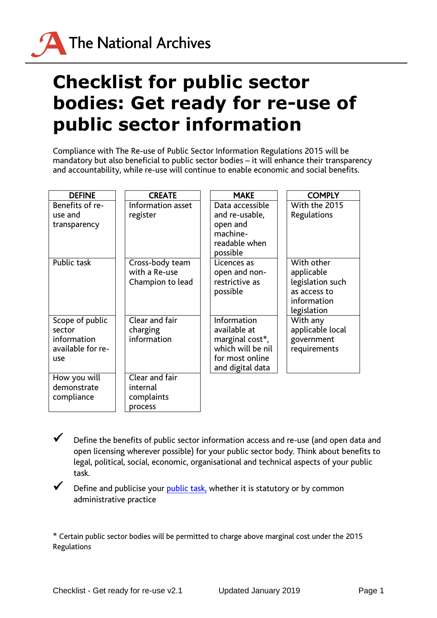

## **Checklist for public sector bodies: Get ready for re-use of public sector information**

Compliance with The Re-use of Public Sector Information Regulations 2015 will be mandatory but also beneficial to public sector bodies – it will enhance their transparency and accountability, while re-use will continue to enable economic and social benefits.

| <b>DEFINE</b>     | <b>CREATE</b>                    | <b>MAKE</b>                     | <b>COMPLY</b>                  |
|-------------------|----------------------------------|---------------------------------|--------------------------------|
| Benefits of re-   | Information asset                | Data accessible                 | With the 2015                  |
| use and           | register                         | and re-usable,                  | Regulations                    |
| transparency      |                                  | open and                        |                                |
|                   |                                  | machine-                        |                                |
|                   |                                  | readable when                   |                                |
|                   |                                  | possible                        | With other                     |
| Public task       | Cross-body team<br>with a Re-use | Licences as                     |                                |
|                   | Champion to lead                 | open and non-<br>restrictive as | applicable<br>legislation such |
|                   |                                  | possible                        | as access to                   |
|                   |                                  |                                 | information                    |
|                   |                                  |                                 | legislation                    |
| Scope of public   | Clear and fair                   | Information                     | With any                       |
| sector            | charging                         | available at                    | applicable local               |
| information       | information                      | marginal cost*,                 | government                     |
| available for re- |                                  | which will be nil               | requirements                   |
| use               |                                  | for most online                 |                                |
|                   |                                  | and digital data                |                                |
| How you will      | Clear and fair                   |                                 |                                |
| demonstrate       | internal                         |                                 |                                |
| compliance        | complaints                       |                                 |                                |
|                   | process                          |                                 |                                |

 Define the benefits of public sector information access and re-use (and open data and open licensing wherever possible) for your public sector body. Think about benefits to legal, political, social, economic, organisational and technical aspects of your public task.

Define and publicise your [public task,](http://www.nationalarchives.gov.uk/information-management/re-using-public-sector-information/re-use-and-licensing/public-task/) whether it is statutory or by common administrative practice

\* Certain public sector bodies will be permitted to charge above marginal cost under the 2015 Regulations